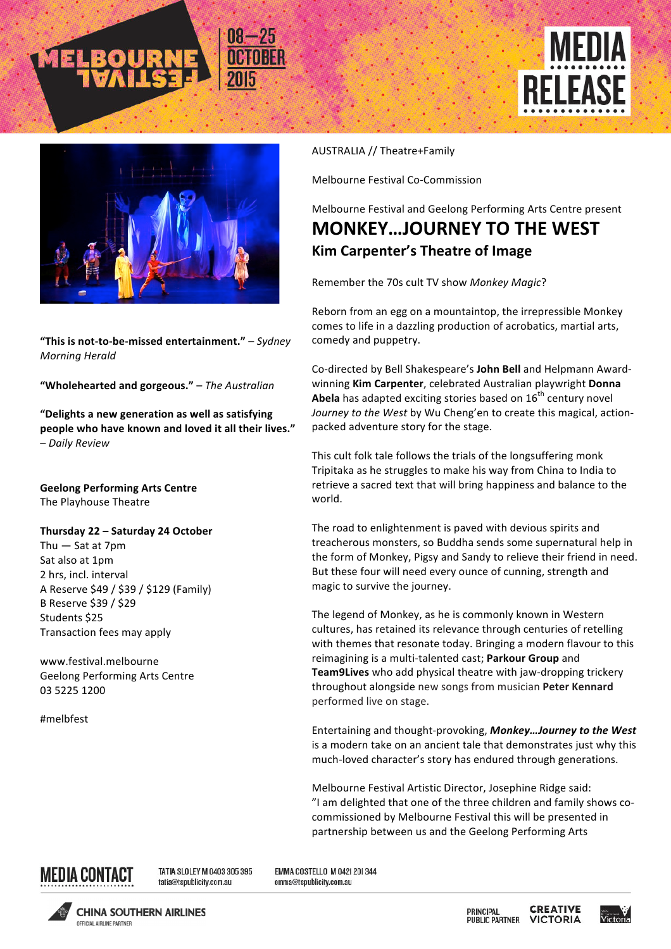





"This is not-to-be-missed entertainment." – Sydney *Morning Herald*

**"Wholehearted and gorgeous."** – *The Australian*

"Delights a new generation as well as satisfying people who have known and loved it all their lives." – *Daily Review*

**Geelong Performing Arts Centre** The Playhouse Theatre

## **Thursday 22 – Saturday 24 October**

Thu  $-$  Sat at  $7$ pm Sat also at 1pm 2 hrs, incl. interval A Reserve \$49 / \$39 / \$129 (Family) B Reserve \$39 / \$29 Students \$25 Transaction fees may apply

www.festival.melbourne Geelong Performing Arts Centre 03 5225 1200

#melbfest

## AUSTRALIA // Theatre+Family

Melbourne Festival Co-Commission

Melbourne Festival and Geelong Performing Arts Centre present

## **MONKEY...JOURNEY TO THE WEST Kim Carpenter's Theatre of Image**

Remember the 70s cult TV show Monkey Magic?

Reborn from an egg on a mountaintop, the irrepressible Monkey comes to life in a dazzling production of acrobatics, martial arts, comedy and puppetry.

Co-directed by Bell Shakespeare's **John Bell** and Helpmann Awardwinning **Kim Carpenter**, celebrated Australian playwright **Donna Abela** has adapted exciting stories based on 16<sup>th</sup> century novel Journey to the West by Wu Cheng'en to create this magical, actionpacked adventure story for the stage.

This cult folk tale follows the trials of the longsuffering monk Tripitaka as he struggles to make his way from China to India to retrieve a sacred text that will bring happiness and balance to the world. 

The road to enlightenment is paved with devious spirits and treacherous monsters, so Buddha sends some supernatural help in the form of Monkey, Pigsy and Sandy to relieve their friend in need. But these four will need every ounce of cunning, strength and magic to survive the journey.

The legend of Monkey, as he is commonly known in Western cultures, has retained its relevance through centuries of retelling with themes that resonate today. Bringing a modern flavour to this reimagining is a multi-talented cast; Parkour Group and Team9Lives who add physical theatre with jaw-dropping trickery throughout alongside new songs from musician **Peter Kennard** performed live on stage.

Entertaining and thought-provoking, Monkey...Journey to the West is a modern take on an ancient tale that demonstrates just why this much-loved character's story has endured through generations.

Melbourne Festival Artistic Director, Josephine Ridge said: "I am delighted that one of the three children and family shows cocommissioned by Melbourne Festival this will be presented in partnership between us and the Geelong Performing Arts



TATIA SLOLEY M 0403 305 395 tatia@tspublicity.com.au

EMMA COSTELLO M 0421 201344 emma@tspublicity.com.au



**CHINA SOUTHERN AIRLINES OCCIOIAL AIDI INF DADTNED** 

**CREATIVE** PRINCIPAL **PUBLIC PARTNER VICTORIA**